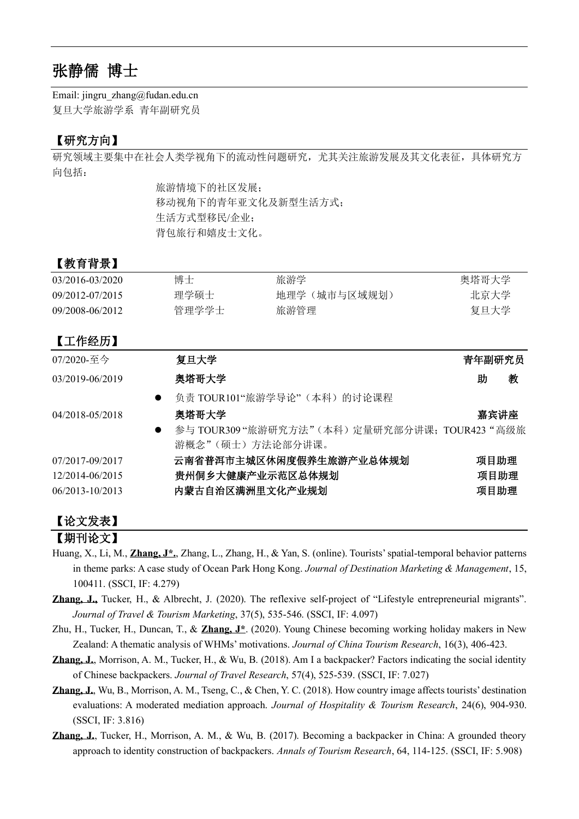# 张静儒 博士

Email: jingru\_zhang@fudan.edu.cn 复旦大学旅游学系 青年副研究员

# 【研究方向】

研究领域主要集中在社会人类学视角下的流动性问题研究,尤其关注旅游发展及其文化表征,具体研究方 向包括:

旅游情境下的社区发展; 移动视角下的青年亚文化及新型生活方式; 生活方式型移民/企业; 背包旅行和嬉皮士文化。

# 【教育背景】

| 03/2016-03/2020 | 博士    | 旅游学          | 奥塔哥大学 |
|-----------------|-------|--------------|-------|
| 09/2012-07/2015 | 理学硕士  | 地理学(城市与区域规划) | 北京大学  |
| 09/2008-06/2012 | 管理学学士 | 旅游管理         | 复旦大学  |

# 【工作经历】

| 07/2020-至今      | 复旦大学                                           | 青年副研究员 |      |
|-----------------|------------------------------------------------|--------|------|
| 03/2019-06/2019 | 奥塔哥大学                                          | 助      | 教    |
| $\bullet$       | 负责 TOUR101"旅游学导论"(本科)的讨论课程                     |        |      |
| 04/2018-05/2018 | 奥塔哥大学                                          |        | 嘉宾讲座 |
|                 | 参与 TOUR309 "旅游研究方法"(本科) 定量研究部分讲课; TOUR423 "高级旅 |        |      |
|                 | 游概念"(硕士)方法论部分讲课。                               |        |      |
| 07/2017-09/2017 | 云南省普洱市主城区休闲度假养生旅游产业总体规划                        |        | 项目助理 |
| 12/2014-06/2015 | 贵州侗乡大健康产业示范区总体规划                               |        | 项目助理 |
| 06/2013-10/2013 | 内蒙古自治区满洲里文化产业规划                                |        | 项目助理 |
|                 |                                                |        |      |

# 【论文发表】

# 【期刊论文】

- Huang, X., Li, M., **Zhang, J\*.**, Zhang, L., Zhang, H., & Yan, S. (online). Tourists' spatial-temporal behavior patterns in theme parks: A case study of Ocean Park Hong Kong. *Journal of Destination Marketing & Management*, 15, 100411. (SSCI, IF: 4.279)
- **Zhang, J.,** Tucker, H., & Albrecht, J. (2020). The reflexive self-project of "Lifestyle entrepreneurial migrants". *Journal of Travel & Tourism Marketing*, 37(5), 535-546. (SSCI, IF: 4.097)
- Zhu, H., Tucker, H., Duncan, T., & **Zhang, J\***. (2020). Young Chinese becoming working holiday makers in New Zealand: A thematic analysis of WHMs' motivations. *Journal of China Tourism Research*, 16(3), 406-423.
- **Zhang, J.**, Morrison, A. M., Tucker, H., & Wu, B. (2018). Am I a backpacker? Factors indicating the social identity of Chinese backpackers. *Journal of Travel Research*, 57(4), 525-539. (SSCI, IF: 7.027)
- **Zhang, J.**, Wu, B., Morrison, A. M., Tseng, C., & Chen, Y. C. (2018). How country image affects tourists' destination evaluations: A moderated mediation approach. *Journal of Hospitality & Tourism Research*, 24(6), 904-930. (SSCI, IF: 3.816)
- **Zhang, J.**, Tucker, H., Morrison, A. M., & Wu, B. (2017). Becoming a backpacker in China: A grounded theory approach to identity construction of backpackers. *Annals of Tourism Research*, 64, 114-125. (SSCI, IF: 5.908)